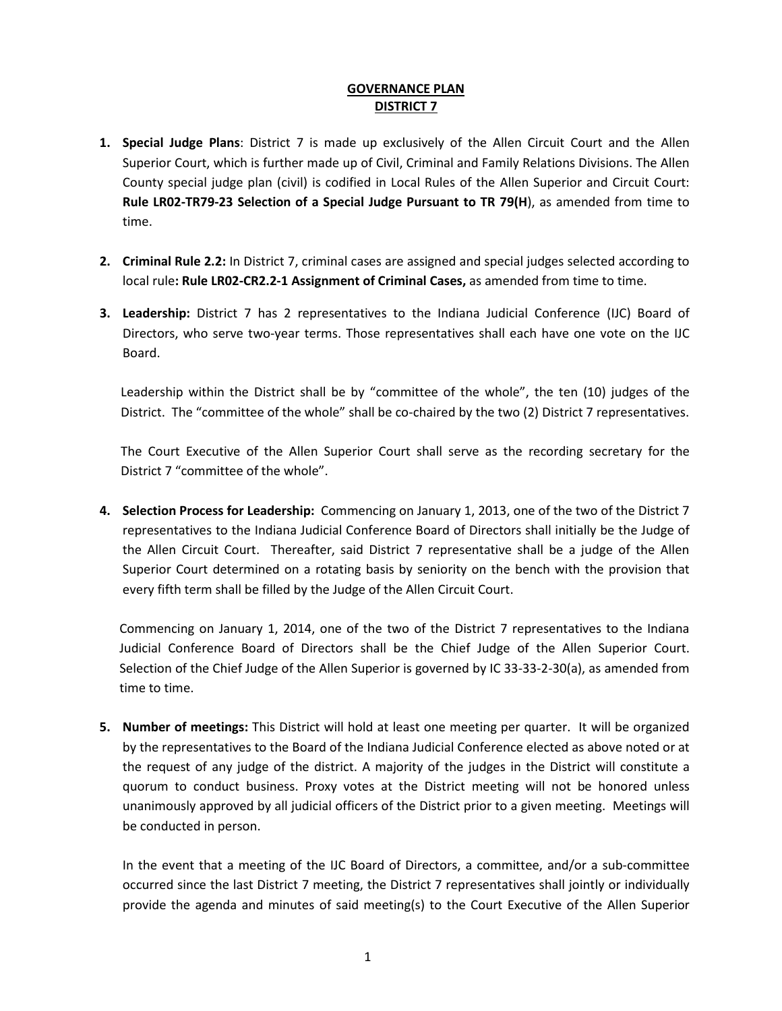## **GOVERNANCE PLAN DISTRICT 7**

- **1. Special Judge Plans**: District 7 is made up exclusively of the Allen Circuit Court and the Allen Superior Court, which is further made up of Civil, Criminal and Family Relations Divisions. The Allen County special judge plan (civil) is codified in Local Rules of the Allen Superior and Circuit Court: **Rule LR02-TR79-23 Selection of a Special Judge Pursuant to TR 79(H**), as amended from time to time.
- **2. Criminal Rule 2.2:** In District 7, criminal cases are assigned and special judges selected according to local rule**: Rule LR02-CR2.2-1 Assignment of Criminal Cases,** as amended from time to time.
- **3. Leadership:** District 7 has 2 representatives to the Indiana Judicial Conference (IJC) Board of Directors, who serve two-year terms. Those representatives shall each have one vote on the IJC Board.

Leadership within the District shall be by "committee of the whole", the ten (10) judges of the District. The "committee of the whole" shall be co-chaired by the two (2) District 7 representatives.

The Court Executive of the Allen Superior Court shall serve as the recording secretary for the District 7 "committee of the whole".

**4. Selection Process for Leadership:** Commencing on January 1, 2013, one of the two of the District 7 representatives to the Indiana Judicial Conference Board of Directors shall initially be the Judge of the Allen Circuit Court. Thereafter, said District 7 representative shall be a judge of the Allen Superior Court determined on a rotating basis by seniority on the bench with the provision that every fifth term shall be filled by the Judge of the Allen Circuit Court.

Commencing on January 1, 2014, one of the two of the District 7 representatives to the Indiana Judicial Conference Board of Directors shall be the Chief Judge of the Allen Superior Court. Selection of the Chief Judge of the Allen Superior is governed by IC 33-33-2-30(a), as amended from time to time.

**5. Number of meetings:** This District will hold at least one meeting per quarter. It will be organized by the representatives to the Board of the Indiana Judicial Conference elected as above noted or at the request of any judge of the district. A majority of the judges in the District will constitute a quorum to conduct business. Proxy votes at the District meeting will not be honored unless unanimously approved by all judicial officers of the District prior to a given meeting. Meetings will be conducted in person.

In the event that a meeting of the IJC Board of Directors, a committee, and/or a sub-committee occurred since the last District 7 meeting, the District 7 representatives shall jointly or individually provide the agenda and minutes of said meeting(s) to the Court Executive of the Allen Superior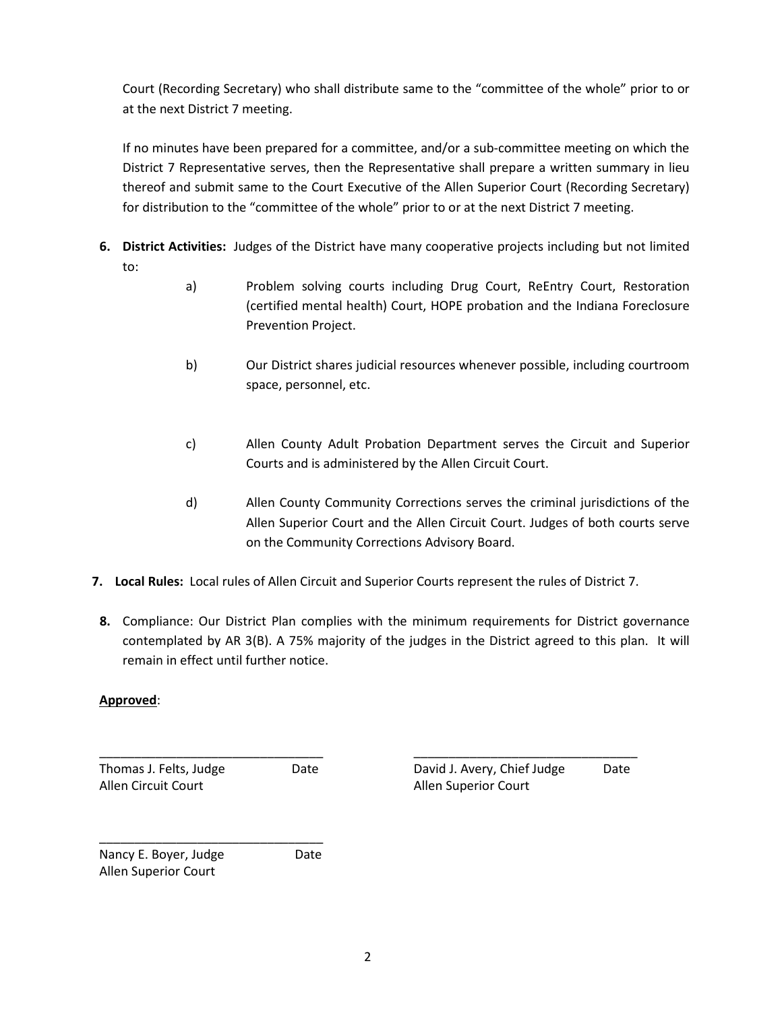Court (Recording Secretary) who shall distribute same to the "committee of the whole" prior to or at the next District 7 meeting.

If no minutes have been prepared for a committee, and/or a sub-committee meeting on which the District 7 Representative serves, then the Representative shall prepare a written summary in lieu thereof and submit same to the Court Executive of the Allen Superior Court (Recording Secretary) for distribution to the "committee of the whole" prior to or at the next District 7 meeting.

- **6. District Activities:** Judges of the District have many cooperative projects including but not limited to:
	- a) Problem solving courts including Drug Court, ReEntry Court, Restoration (certified mental health) Court, HOPE probation and the Indiana Foreclosure Prevention Project.
	- b) Our District shares judicial resources whenever possible, including courtroom space, personnel, etc.
	- c) Allen County Adult Probation Department serves the Circuit and Superior Courts and is administered by the Allen Circuit Court.
	- d) Allen County Community Corrections serves the criminal jurisdictions of the Allen Superior Court and the Allen Circuit Court. Judges of both courts serve on the Community Corrections Advisory Board.
- **7. Local Rules:** Local rules of Allen Circuit and Superior Courts represent the rules of District 7.
- **8.** Compliance: Our District Plan complies with the minimum requirements for District governance contemplated by AR 3(B). A 75% majority of the judges in the District agreed to this plan. It will remain in effect until further notice.

## **Approved**:

\_\_\_\_\_\_\_\_\_\_\_\_\_\_\_\_\_\_\_\_\_\_\_\_\_\_\_\_\_\_\_\_ \_\_\_\_\_\_\_\_\_\_\_\_\_\_\_\_\_\_\_\_\_\_\_\_\_\_\_\_\_\_\_\_ Allen Circuit Court **Allen Superior Court** Allen Superior Court

Thomas J. Felts, Judge Date David J. Avery, Chief Judge Date

Nancy E. Boyer, Judge Date Allen Superior Court

\_\_\_\_\_\_\_\_\_\_\_\_\_\_\_\_\_\_\_\_\_\_\_\_\_\_\_\_\_\_\_\_